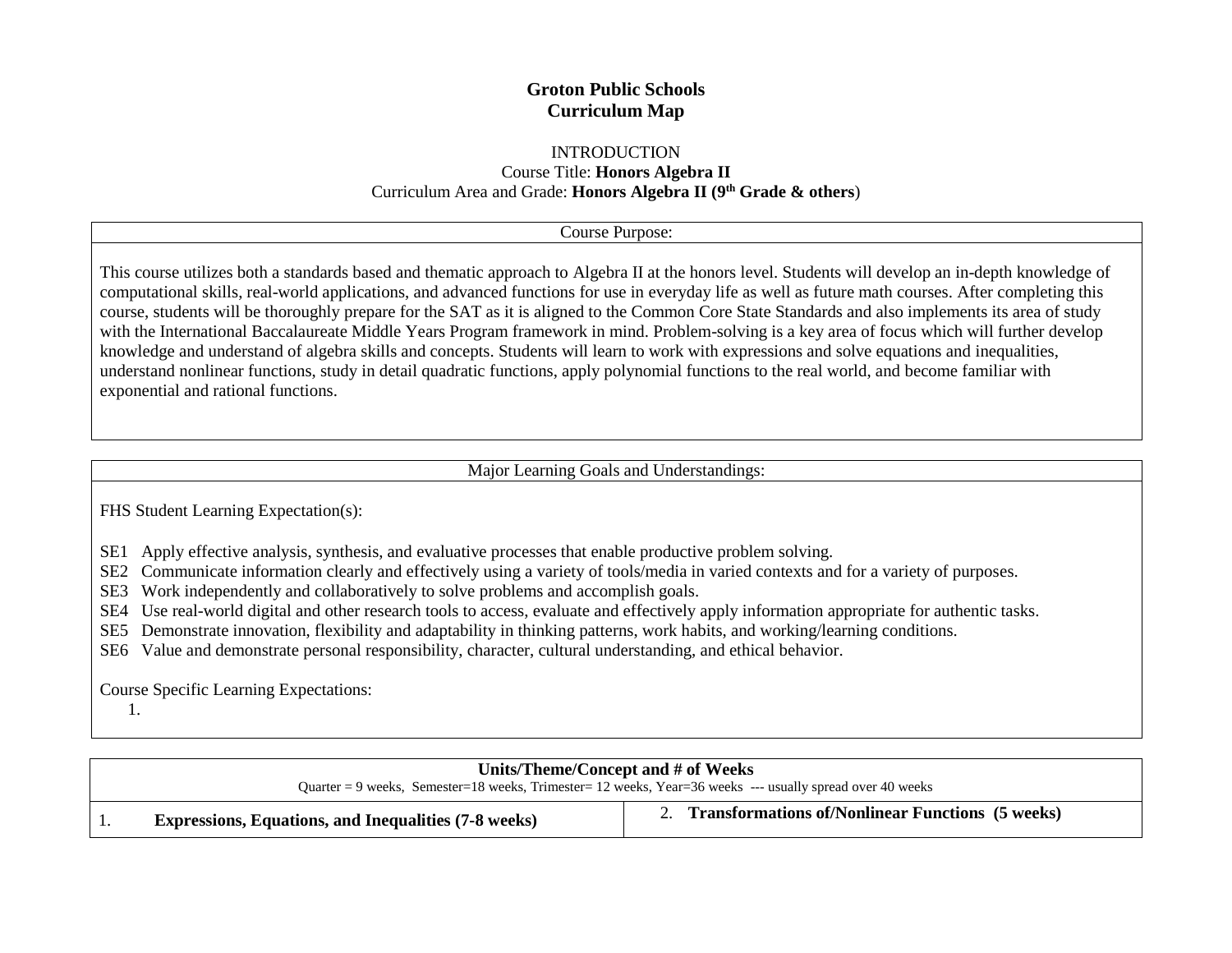# **Groton Public Schools Curriculum Map**

## INTRODUCTION

Course Title: **Honors Algebra II** Curriculum Area and Grade: **Honors Algebra II (9th Grade & others**)

#### Course Purpose:

This course utilizes both a standards based and thematic approach to Algebra II at the honors level. Students will develop an in-depth knowledge of computational skills, real-world applications, and advanced functions for use in everyday life as well as future math courses. After completing this course, students will be thoroughly prepare for the SAT as it is aligned to the Common Core State Standards and also implements its area of study with the International Baccalaureate Middle Years Program framework in mind. Problem-solving is a key area of focus which will further develop knowledge and understand of algebra skills and concepts. Students will learn to work with expressions and solve equations and inequalities, understand nonlinear functions, study in detail quadratic functions, apply polynomial functions to the real world, and become familiar with exponential and rational functions.

### Major Learning Goals and Understandings:

FHS Student Learning Expectation(s):

SE1 SE1 Apply effective analysis, synthesis, and evaluative processes that enable productive problem solving.

SE2 SE2 Communicate information clearly and effectively using a variety of tools/media in varied contexts and for a variety of purposes.

SE3 Work independently and collaboratively to solve problems and accomplish goals.

SE4 SE4 Use real-world digital and other research tools to access, evaluate and effectively apply information appropriate for authentic tasks.

SE5 SE5 Demonstrate innovation, flexibility and adaptability in thinking patterns, work habits, and working/learning conditions.

SE6 Value and demonstrate personal responsibility, character, cultural understanding, and ethical behavior.

Course Specific Learning Expectations:

1.

| Units/Theme/Concept and # of Weeks<br>Quarter = 9 weeks, Semester=18 weeks, Trimester= 12 weeks, Year=36 weeks --- usually spread over 40 weeks |                                                         |  |  |
|-------------------------------------------------------------------------------------------------------------------------------------------------|---------------------------------------------------------|--|--|
| <b>Expressions, Equations, and Inequalities (7-8 weeks)</b>                                                                                     | <b>Transformations of/Nonlinear Functions (5 weeks)</b> |  |  |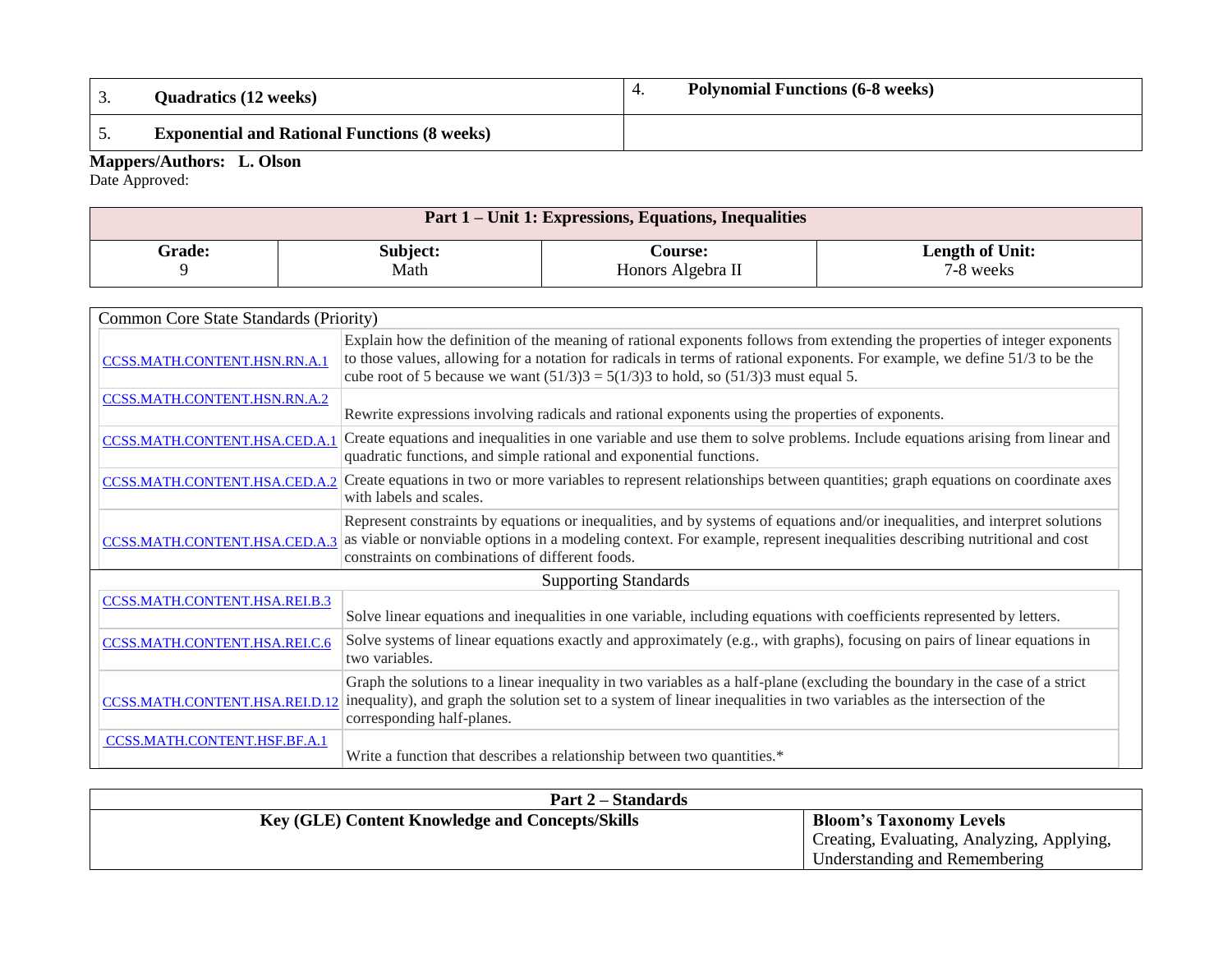| <b>Quadratics (12 weeks)</b> |                                                     | <b>Polynomial Functions (6-8 weeks)</b> |
|------------------------------|-----------------------------------------------------|-----------------------------------------|
|                              | <b>Exponential and Rational Functions (8 weeks)</b> |                                         |

#### **Mappers/Authors: L. Olson**

Date Approved:

| Part 1 – Unit 1: Expressions, Equations, Inequalities |          |                   |                 |  |
|-------------------------------------------------------|----------|-------------------|-----------------|--|
| Grade:                                                | Subject: | <b>Course:</b>    | Length of Unit: |  |
|                                                       | Math     | Honors Algebra II | 7-8 weeks       |  |

|                               | Common Core State Standards (Priority)                                                                                                                                                                                                                                                                                                              |  |  |  |  |
|-------------------------------|-----------------------------------------------------------------------------------------------------------------------------------------------------------------------------------------------------------------------------------------------------------------------------------------------------------------------------------------------------|--|--|--|--|
| CCSS.MATH.CONTENT.HSN.RN.A.1  | Explain how the definition of the meaning of rational exponents follows from extending the properties of integer exponents<br>to those values, allowing for a notation for radicals in terms of rational exponents. For example, we define 51/3 to be the<br>cube root of 5 because we want $(51/3)3 = 5(1/3)3$ to hold, so $(51/3)3$ must equal 5. |  |  |  |  |
| CCSS.MATH.CONTENT.HSN.RN.A.2  | Rewrite expressions involving radicals and rational exponents using the properties of exponents.                                                                                                                                                                                                                                                    |  |  |  |  |
| CCSS.MATH.CONTENT.HSA.CED.A.1 | Create equations and inequalities in one variable and use them to solve problems. Include equations arising from linear and<br>quadratic functions, and simple rational and exponential functions.                                                                                                                                                  |  |  |  |  |
| CCSS.MATH.CONTENT.HSA.CED.A.2 | Create equations in two or more variables to represent relationships between quantities; graph equations on coordinate axes<br>with labels and scales.                                                                                                                                                                                              |  |  |  |  |
| CCSS.MATH.CONTENT.HSA.CED.A.3 | Represent constraints by equations or inequalities, and by systems of equations and/or inequalities, and interpret solutions<br>as viable or nonviable options in a modeling context. For example, represent inequalities describing nutritional and cost<br>constraints on combinations of different foods.                                        |  |  |  |  |
|                               | <b>Supporting Standards</b>                                                                                                                                                                                                                                                                                                                         |  |  |  |  |
| CCSS.MATH.CONTENT.HSA.REI.B.3 | Solve linear equations and inequalities in one variable, including equations with coefficients represented by letters.                                                                                                                                                                                                                              |  |  |  |  |
| CCSS.MATH.CONTENT.HSA.REI.C.6 | Solve systems of linear equations exactly and approximately (e.g., with graphs), focusing on pairs of linear equations in<br>two variables.                                                                                                                                                                                                         |  |  |  |  |
|                               | Graph the solutions to a linear inequality in two variables as a half-plane (excluding the boundary in the case of a strict<br>CCSS.MATH.CONTENT.HSA.REI.D.12 inequality), and graph the solution set to a system of linear inequalities in two variables as the intersection of the<br>corresponding half-planes.                                  |  |  |  |  |
| CCSS.MATH.CONTENT.HSF.BF.A.1  | Write a function that describes a relationship between two quantities.*                                                                                                                                                                                                                                                                             |  |  |  |  |

| <b>Part 2 – Standards</b>                              |                                            |
|--------------------------------------------------------|--------------------------------------------|
| <b>Key (GLE) Content Knowledge and Concepts/Skills</b> | <b>Bloom's Taxonomy Levels</b>             |
|                                                        | Creating, Evaluating, Analyzing, Applying, |
|                                                        | Understanding and Remembering              |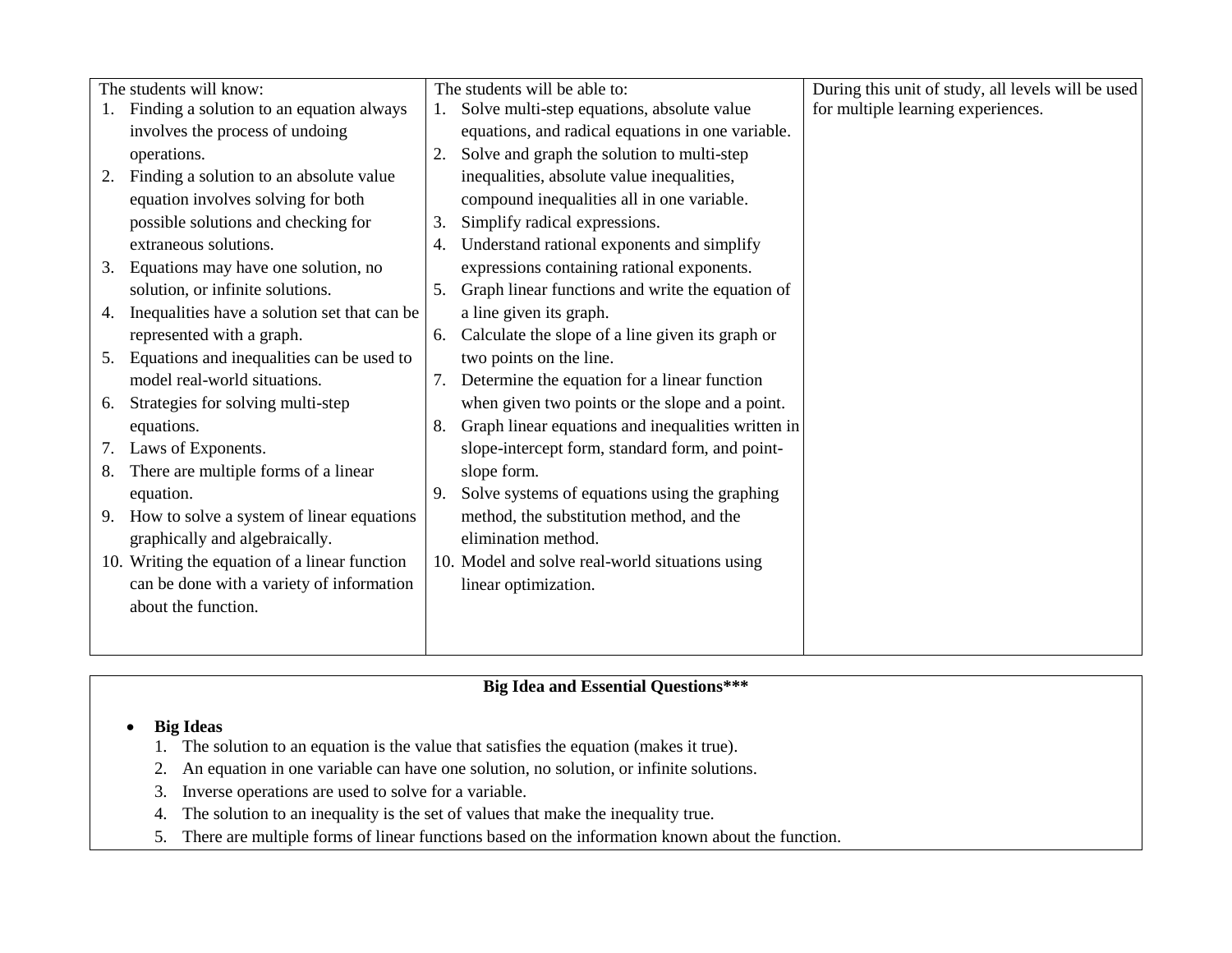| The students will know:                            | The students will be able to:                            | During this unit of study, all levels will be used |
|----------------------------------------------------|----------------------------------------------------------|----------------------------------------------------|
| Finding a solution to an equation always           | Solve multi-step equations, absolute value               | for multiple learning experiences.                 |
| involves the process of undoing                    | equations, and radical equations in one variable.        |                                                    |
| operations.                                        | Solve and graph the solution to multi-step<br>2.         |                                                    |
| Finding a solution to an absolute value<br>2.      | inequalities, absolute value inequalities,               |                                                    |
| equation involves solving for both                 | compound inequalities all in one variable.               |                                                    |
| possible solutions and checking for                | Simplify radical expressions.<br>3.                      |                                                    |
| extraneous solutions.                              | Understand rational exponents and simplify<br>4.         |                                                    |
| Equations may have one solution, no<br>3.          | expressions containing rational exponents.               |                                                    |
| solution, or infinite solutions.                   | Graph linear functions and write the equation of<br>5.   |                                                    |
| Inequalities have a solution set that can be<br>4. | a line given its graph.                                  |                                                    |
| represented with a graph.                          | Calculate the slope of a line given its graph or<br>6.   |                                                    |
| Equations and inequalities can be used to<br>5.    | two points on the line.                                  |                                                    |
| model real-world situations.                       | Determine the equation for a linear function<br>7.       |                                                    |
| Strategies for solving multi-step<br>6.            | when given two points or the slope and a point.          |                                                    |
| equations.                                         | Graph linear equations and inequalities written in<br>8. |                                                    |
| Laws of Exponents.<br>7.                           | slope-intercept form, standard form, and point-          |                                                    |
| There are multiple forms of a linear<br>8.         | slope form.                                              |                                                    |
| equation.                                          | Solve systems of equations using the graphing<br>9.      |                                                    |
| How to solve a system of linear equations<br>9.    | method, the substitution method, and the                 |                                                    |
| graphically and algebraically.                     | elimination method.                                      |                                                    |
| 10. Writing the equation of a linear function      | 10. Model and solve real-world situations using          |                                                    |
| can be done with a variety of information          | linear optimization.                                     |                                                    |
| about the function.                                |                                                          |                                                    |
|                                                    |                                                          |                                                    |
|                                                    |                                                          |                                                    |

### **Big Ideas**

- 1. The solution to an equation is the value that satisfies the equation (makes it true).
- 2. An equation in one variable can have one solution, no solution, or infinite solutions.
- 3. Inverse operations are used to solve for a variable.
- 4. The solution to an inequality is the set of values that make the inequality true.
- 5. There are multiple forms of linear functions based on the information known about the function.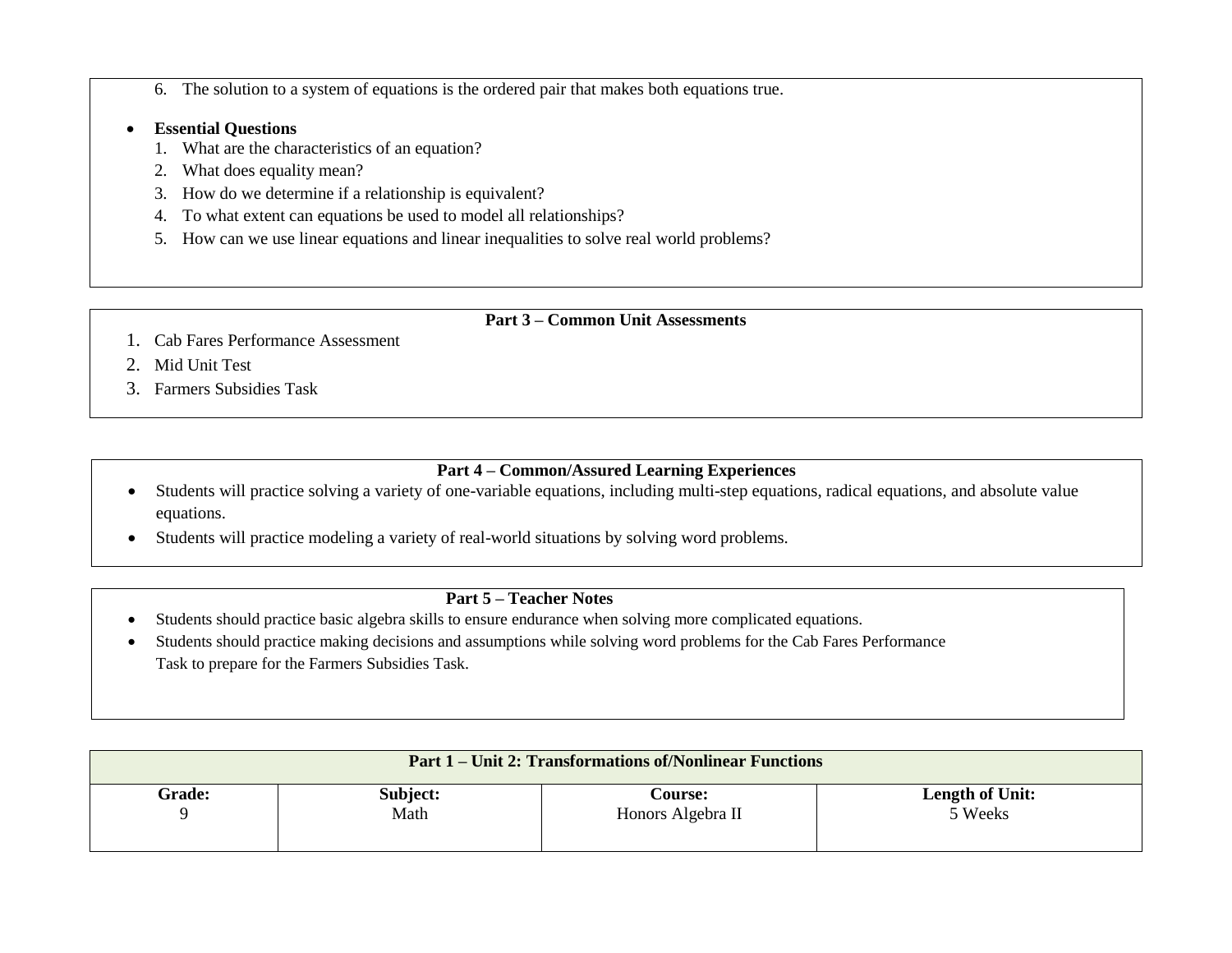- 6. The solution to a system of equations is the ordered pair that makes both equations true.
- **Essential Questions**
	- 1. What are the characteristics of an equation?
	- 2. What does equality mean?
	- 3. How do we determine if a relationship is equivalent?
	- 4. To what extent can equations be used to model all relationships?
	- 5. How can we use linear equations and linear inequalities to solve real world problems?

## **Part 3 – Common Unit Assessments**

- 1. Cab Fares Performance Assessment
- 2. Mid Unit Test
- 3. Farmers Subsidies Task

## **Part 4 – Common/Assured Learning Experiences**

- Students will practice solving a variety of one-variable equations, including multi-step equations, radical equations, and absolute value equations.
- Students will practice modeling a variety of real-world situations by solving word problems.

# **Part 5 – Teacher Notes**

- Students should practice basic algebra skills to ensure endurance when solving more complicated equations.
- Students should practice making decisions and assumptions while solving word problems for the Cab Fares Performance Task to prepare for the Farmers Subsidies Task.

| <b>Part 1 – Unit 2: Transformations of/Nonlinear Functions</b> |          |                   |                        |  |  |
|----------------------------------------------------------------|----------|-------------------|------------------------|--|--|
| <b>Grade:</b>                                                  | Subject: | <b>Course:</b>    | <b>Length of Unit:</b> |  |  |
| Q                                                              | Math     | Honors Algebra II | 5 Weeks                |  |  |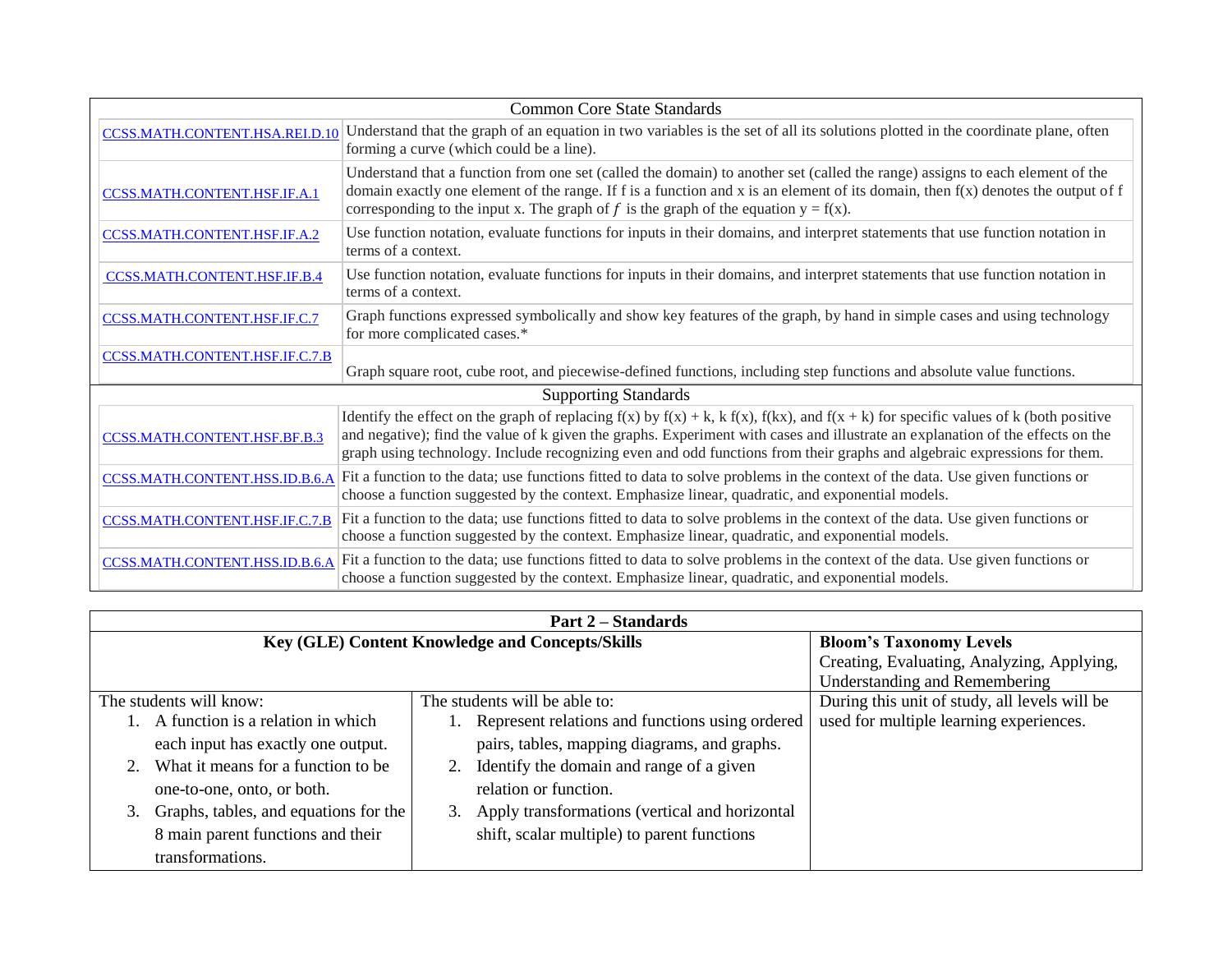| Common Core State Standards         |                                                                                                                                                                                                                                                                                                                                                                                                                |  |  |  |  |
|-------------------------------------|----------------------------------------------------------------------------------------------------------------------------------------------------------------------------------------------------------------------------------------------------------------------------------------------------------------------------------------------------------------------------------------------------------------|--|--|--|--|
| CCSS.MATH.CONTENT.HSA.REI.D.10      | Understand that the graph of an equation in two variables is the set of all its solutions plotted in the coordinate plane, often<br>forming a curve (which could be a line).                                                                                                                                                                                                                                   |  |  |  |  |
| <b>CCSS.MATH.CONTENT.HSF.IF.A.1</b> | Understand that a function from one set (called the domain) to another set (called the range) assigns to each element of the<br>domain exactly one element of the range. If f is a function and x is an element of its domain, then $f(x)$ denotes the output of f<br>corresponding to the input x. The graph of f is the graph of the equation $y = f(x)$ .                                                   |  |  |  |  |
| <b>CCSS.MATH.CONTENT.HSF.IF.A.2</b> | Use function notation, evaluate functions for inputs in their domains, and interpret statements that use function notation in<br>terms of a context.                                                                                                                                                                                                                                                           |  |  |  |  |
| CCSS.MATH.CONTENT.HSF.IF.B.4        | Use function notation, evaluate functions for inputs in their domains, and interpret statements that use function notation in<br>terms of a context.                                                                                                                                                                                                                                                           |  |  |  |  |
| CCSS.MATH.CONTENT.HSF.IF.C.7        | Graph functions expressed symbolically and show key features of the graph, by hand in simple cases and using technology<br>for more complicated cases.*                                                                                                                                                                                                                                                        |  |  |  |  |
| CCSS.MATH.CONTENT.HSF.IF.C.7.B      | Graph square root, cube root, and piecewise-defined functions, including step functions and absolute value functions.                                                                                                                                                                                                                                                                                          |  |  |  |  |
| <b>Supporting Standards</b>         |                                                                                                                                                                                                                                                                                                                                                                                                                |  |  |  |  |
| CCSS.MATH.CONTENT.HSF.BF.B.3        | Identify the effect on the graph of replacing $f(x)$ by $f(x) + k$ , $k f(x)$ , $f(kx)$ , and $f(x + k)$ for specific values of k (both positive<br>and negative); find the value of k given the graphs. Experiment with cases and illustrate an explanation of the effects on the<br>graph using technology. Include recognizing even and odd functions from their graphs and algebraic expressions for them. |  |  |  |  |
| CCSS.MATH.CONTENT.HSS.ID.B.6.A      | Fit a function to the data; use functions fitted to data to solve problems in the context of the data. Use given functions or<br>choose a function suggested by the context. Emphasize linear, quadratic, and exponential models.                                                                                                                                                                              |  |  |  |  |
| CCSS.MATH.CONTENT.HSF.IF.C.7.B      | Fit a function to the data; use functions fitted to data to solve problems in the context of the data. Use given functions or<br>choose a function suggested by the context. Emphasize linear, quadratic, and exponential models.                                                                                                                                                                              |  |  |  |  |
| CCSS.MATH.CONTENT.HSS.ID.B.6.A      | Fit a function to the data; use functions fitted to data to solve problems in the context of the data. Use given functions or<br>choose a function suggested by the context. Emphasize linear, quadratic, and exponential models.                                                                                                                                                                              |  |  |  |  |

| <b>Part 2 – Standards</b>                                |                                                   |                                               |  |  |
|----------------------------------------------------------|---------------------------------------------------|-----------------------------------------------|--|--|
| Key (GLE) Content Knowledge and Concepts/Skills          |                                                   | <b>Bloom's Taxonomy Levels</b>                |  |  |
|                                                          |                                                   | Creating, Evaluating, Analyzing, Applying,    |  |  |
|                                                          |                                                   | Understanding and Remembering                 |  |  |
| The students will be able to:<br>The students will know: |                                                   | During this unit of study, all levels will be |  |  |
| A function is a relation in which                        | Represent relations and functions using ordered   | used for multiple learning experiences.       |  |  |
| each input has exactly one output.                       | pairs, tables, mapping diagrams, and graphs.      |                                               |  |  |
| What it means for a function to be.                      | 2. Identify the domain and range of a given       |                                               |  |  |
| one-to-one, onto, or both.                               | relation or function.                             |                                               |  |  |
| Graphs, tables, and equations for the                    | 3. Apply transformations (vertical and horizontal |                                               |  |  |
| 8 main parent functions and their                        | shift, scalar multiple) to parent functions       |                                               |  |  |
| transformations.                                         |                                                   |                                               |  |  |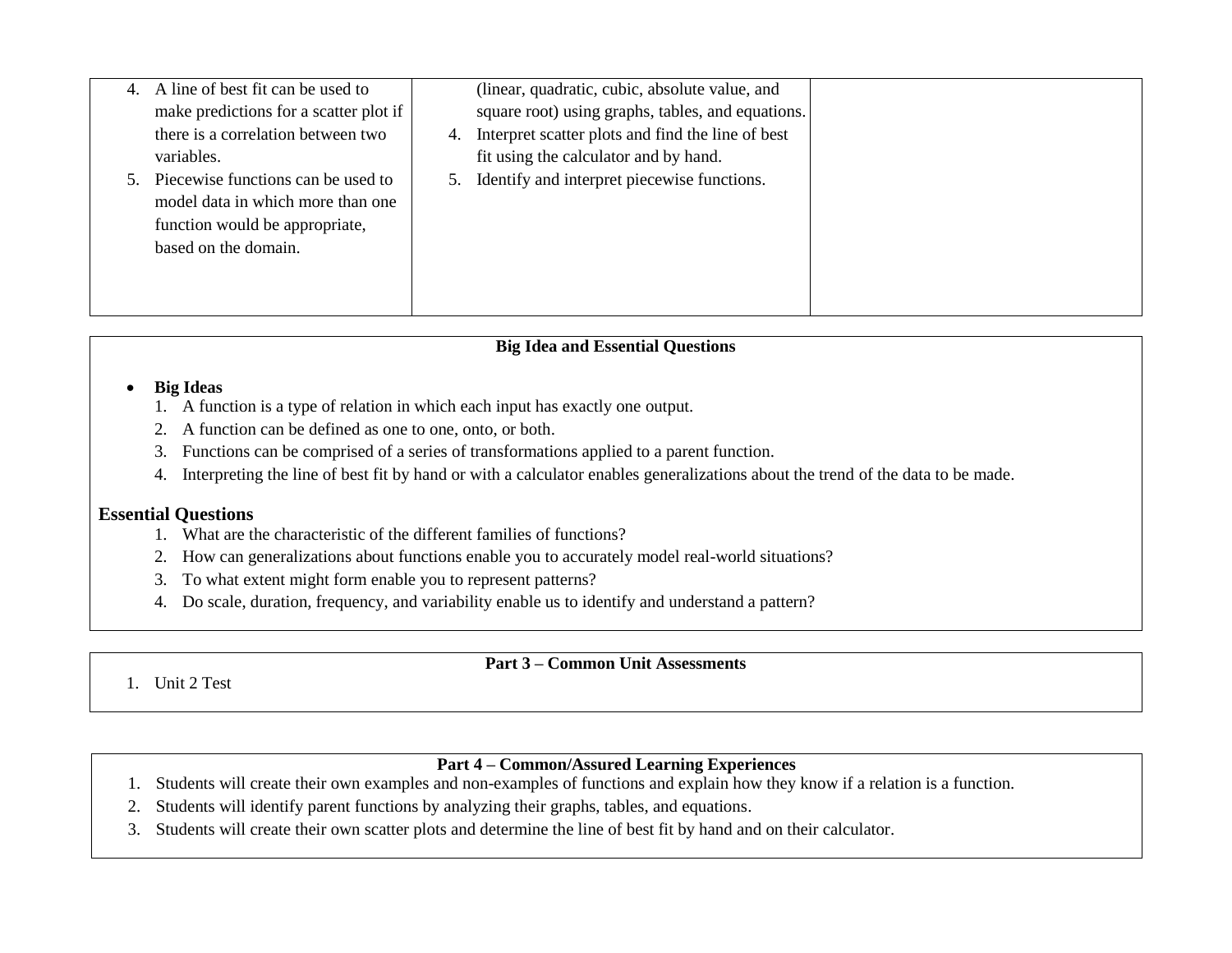| 4. A line of best fit can be used to   |    | (linear, quadratic, cubic, absolute value, and    |  |
|----------------------------------------|----|---------------------------------------------------|--|
| make predictions for a scatter plot if |    | square root) using graphs, tables, and equations. |  |
| there is a correlation between two     | 4. | Interpret scatter plots and find the line of best |  |
| variables.                             |    | fit using the calculator and by hand.             |  |
| 5. Piecewise functions can be used to  | 5. | Identify and interpret piecewise functions.       |  |
| model data in which more than one      |    |                                                   |  |
| function would be appropriate,         |    |                                                   |  |
| based on the domain.                   |    |                                                   |  |
|                                        |    |                                                   |  |
|                                        |    |                                                   |  |
|                                        |    |                                                   |  |

#### **Big Ideas**

- 1. A function is a type of relation in which each input has exactly one output.
- 2. A function can be defined as one to one, onto, or both.
- 3. Functions can be comprised of a series of transformations applied to a parent function.
- 4. Interpreting the line of best fit by hand or with a calculator enables generalizations about the trend of the data to be made.

### **Essential Questions**

- 1. What are the characteristic of the different families of functions?
- 2. How can generalizations about functions enable you to accurately model real-world situations?
- 3. To what extent might form enable you to represent patterns?
- 4. Do scale, duration, frequency, and variability enable us to identify and understand a pattern?

# **Part 3 – Common Unit Assessments**

1. Unit 2 Test

## **Part 4 – Common/Assured Learning Experiences**

- 1. Students will create their own examples and non-examples of functions and explain how they know if a relation is a function.
- 2. Students will identify parent functions by analyzing their graphs, tables, and equations.
- 3. Students will create their own scatter plots and determine the line of best fit by hand and on their calculator.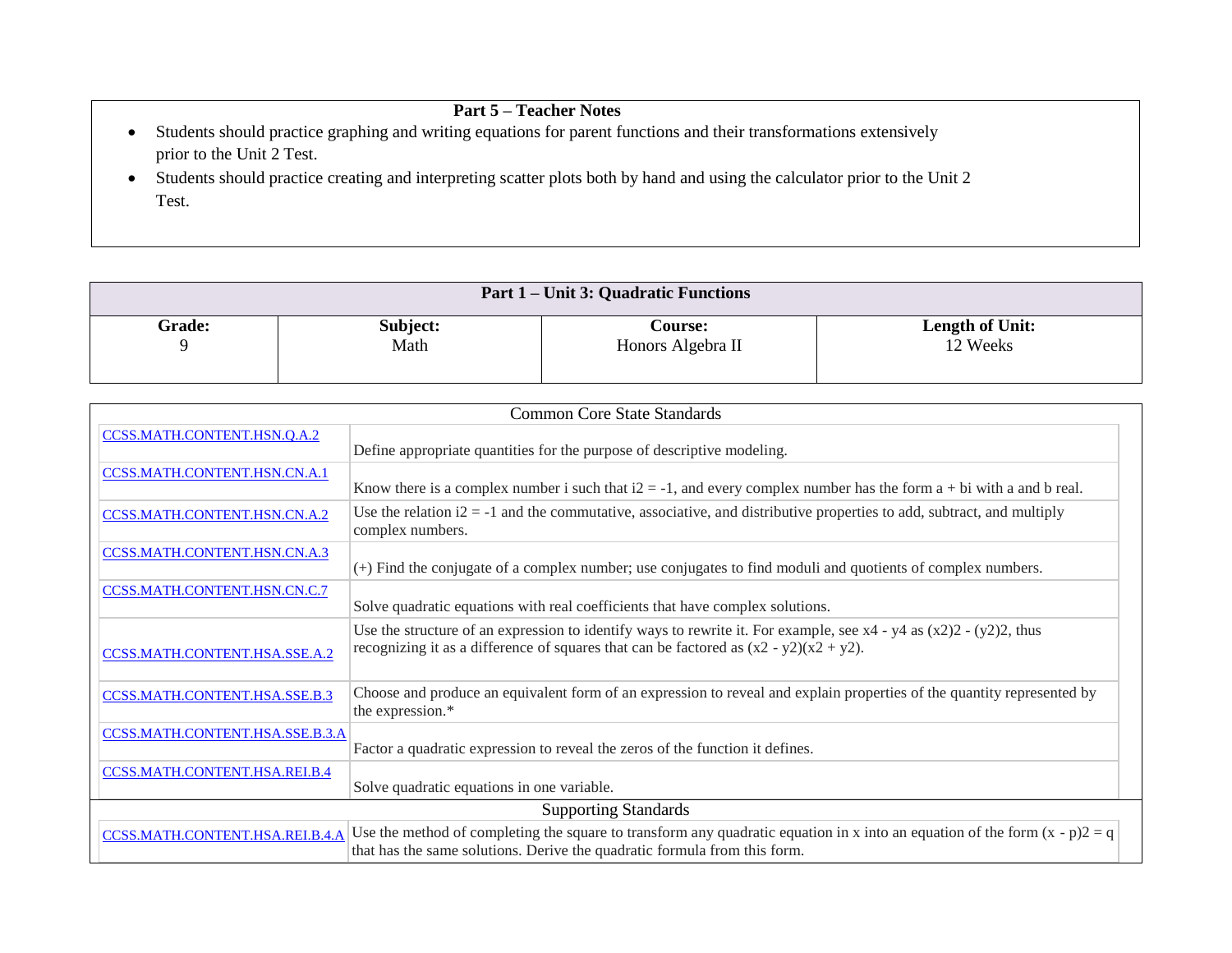# **Part 5 – Teacher Notes**

- Students should practice graphing and writing equations for parent functions and their transformations extensively prior to the Unit 2 Test.
- Students should practice creating and interpreting scatter plots both by hand and using the calculator prior to the Unit 2 Test.

| <b>Part 1 – Unit 3: Quadratic Functions</b> |          |                   |                        |  |  |
|---------------------------------------------|----------|-------------------|------------------------|--|--|
| <b>Grade:</b>                               | Subject: | <b>Course:</b>    | <b>Length of Unit:</b> |  |  |
| ч                                           | Math     | Honors Algebra II | 12 Weeks               |  |  |

| <b>Common Core State Standards</b>  |                                                                                                                                                                                                                     |  |  |  |
|-------------------------------------|---------------------------------------------------------------------------------------------------------------------------------------------------------------------------------------------------------------------|--|--|--|
| CCSS.MATH.CONTENT.HSN.O.A.2         | Define appropriate quantities for the purpose of descriptive modeling.                                                                                                                                              |  |  |  |
| <b>CCSS.MATH.CONTENT.HSN.CN.A.1</b> | Know there is a complex number i such that $i2 = -1$ , and every complex number has the form $a + bi$ with a and b real.                                                                                            |  |  |  |
| CCSS.MATH.CONTENT.HSN.CN.A.2        | Use the relation $i2 = -1$ and the commutative, associative, and distributive properties to add, subtract, and multiply<br>complex numbers.                                                                         |  |  |  |
| CCSS.MATH.CONTENT.HSN.CN.A.3        | (+) Find the conjugate of a complex number; use conjugates to find moduli and quotients of complex numbers.                                                                                                         |  |  |  |
| CCSS.MATH.CONTENT.HSN.CN.C.7        | Solve quadratic equations with real coefficients that have complex solutions.                                                                                                                                       |  |  |  |
| CCSS.MATH.CONTENT.HSA.SSE.A.2       | Use the structure of an expression to identify ways to rewrite it. For example, see $x4 - y4$ as $(x2)2 - (y2)2$ , thus<br>recognizing it as a difference of squares that can be factored as $(x2 - y2)(x2 + y2)$ . |  |  |  |
| CCSS.MATH.CONTENT.HSA.SSE.B.3       | Choose and produce an equivalent form of an expression to reveal and explain properties of the quantity represented by<br>the expression.*                                                                          |  |  |  |
| CCSS.MATH.CONTENT.HSA.SSE.B.3.A     | Factor a quadratic expression to reveal the zeros of the function it defines.                                                                                                                                       |  |  |  |
| CCSS.MATH.CONTENT.HSA.REI.B.4       | Solve quadratic equations in one variable.                                                                                                                                                                          |  |  |  |
| <b>Supporting Standards</b>         |                                                                                                                                                                                                                     |  |  |  |
| CCSS.MATH.CONTENT.HSA.REI.B.4.A     | Use the method of completing the square to transform any quadratic equation in x into an equation of the form $(x - p)2 = q$<br>that has the same solutions. Derive the quadratic formula from this form.           |  |  |  |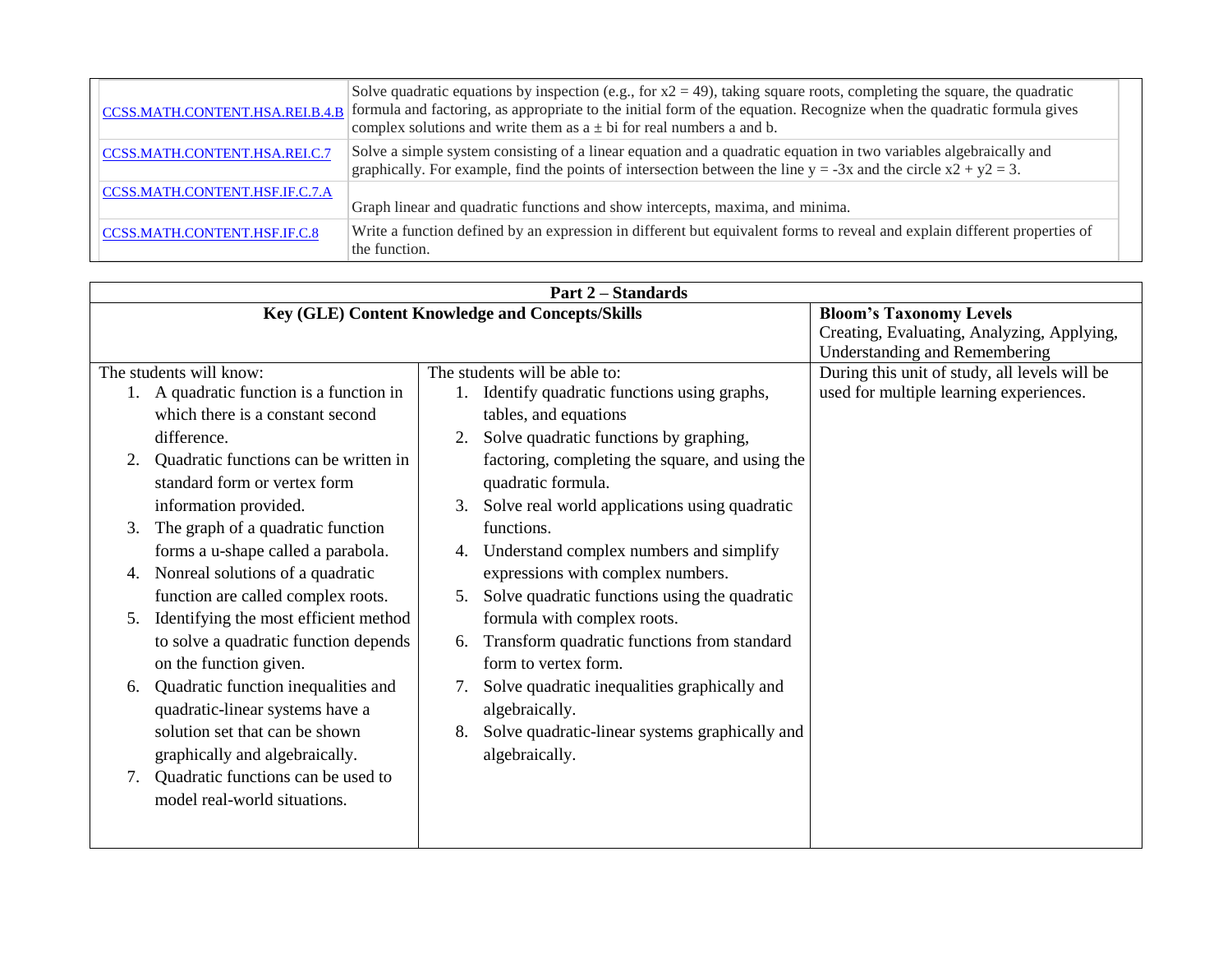| CCSS.MATH.CONTENT.HSA.REI.B.4.B | Solve quadratic equations by inspection (e.g., for $x^2 = 49$ ), taking square roots, completing the square, the quadratic<br>formula and factoring, as appropriate to the initial form of the equation. Recognize when the quadratic formula gives<br>complex solutions and write them as $a \pm bi$ for real numbers a and b. |
|---------------------------------|---------------------------------------------------------------------------------------------------------------------------------------------------------------------------------------------------------------------------------------------------------------------------------------------------------------------------------|
| CCSS.MATH.CONTENT.HSA.REI.C.7   | Solve a simple system consisting of a linear equation and a quadratic equation in two variables algebraically and<br>graphically. For example, find the points of intersection between the line $y = -3x$ and the circle $x^2 + y^2 = 3$ .                                                                                      |
| CCSS.MATH.CONTENT.HSF.IF.C.7.A  | Graph linear and quadratic functions and show intercepts, maxima, and minima.                                                                                                                                                                                                                                                   |
| CCSS.MATH.CONTENT.HSF.IF.C.8    | Write a function defined by an expression in different but equivalent forms to reveal and explain different properties of<br>the function.                                                                                                                                                                                      |

| <b>Part 2 – Standards</b>                   |                                                        |                                               |
|---------------------------------------------|--------------------------------------------------------|-----------------------------------------------|
|                                             | <b>Key (GLE) Content Knowledge and Concepts/Skills</b> | <b>Bloom's Taxonomy Levels</b>                |
|                                             |                                                        | Creating, Evaluating, Analyzing, Applying,    |
|                                             |                                                        | <b>Understanding and Remembering</b>          |
| The students will know:                     | The students will be able to:                          | During this unit of study, all levels will be |
| 1. A quadratic function is a function in    | Identify quadratic functions using graphs,             | used for multiple learning experiences.       |
| which there is a constant second            | tables, and equations                                  |                                               |
| difference.                                 | Solve quadratic functions by graphing,                 |                                               |
| Quadratic functions can be written in<br>2. | factoring, completing the square, and using the        |                                               |
| standard form or vertex form                | quadratic formula.                                     |                                               |
| information provided.                       | Solve real world applications using quadratic<br>3.    |                                               |
| The graph of a quadratic function<br>3.     | functions.                                             |                                               |
| forms a u-shape called a parabola.          | Understand complex numbers and simplify<br>4.          |                                               |
| Nonreal solutions of a quadratic<br>4.      | expressions with complex numbers.                      |                                               |
| function are called complex roots.          | Solve quadratic functions using the quadratic<br>5.    |                                               |
| Identifying the most efficient method<br>5. | formula with complex roots.                            |                                               |
| to solve a quadratic function depends       | Transform quadratic functions from standard<br>6.      |                                               |
| on the function given.                      | form to vertex form.                                   |                                               |
| Quadratic function inequalities and<br>6.   | Solve quadratic inequalities graphically and<br>7.     |                                               |
| quadratic-linear systems have a             | algebraically.                                         |                                               |
| solution set that can be shown              | Solve quadratic-linear systems graphically and<br>8.   |                                               |
| graphically and algebraically.              | algebraically.                                         |                                               |
| Quadratic functions can be used to<br>7.    |                                                        |                                               |
| model real-world situations.                |                                                        |                                               |
|                                             |                                                        |                                               |
|                                             |                                                        |                                               |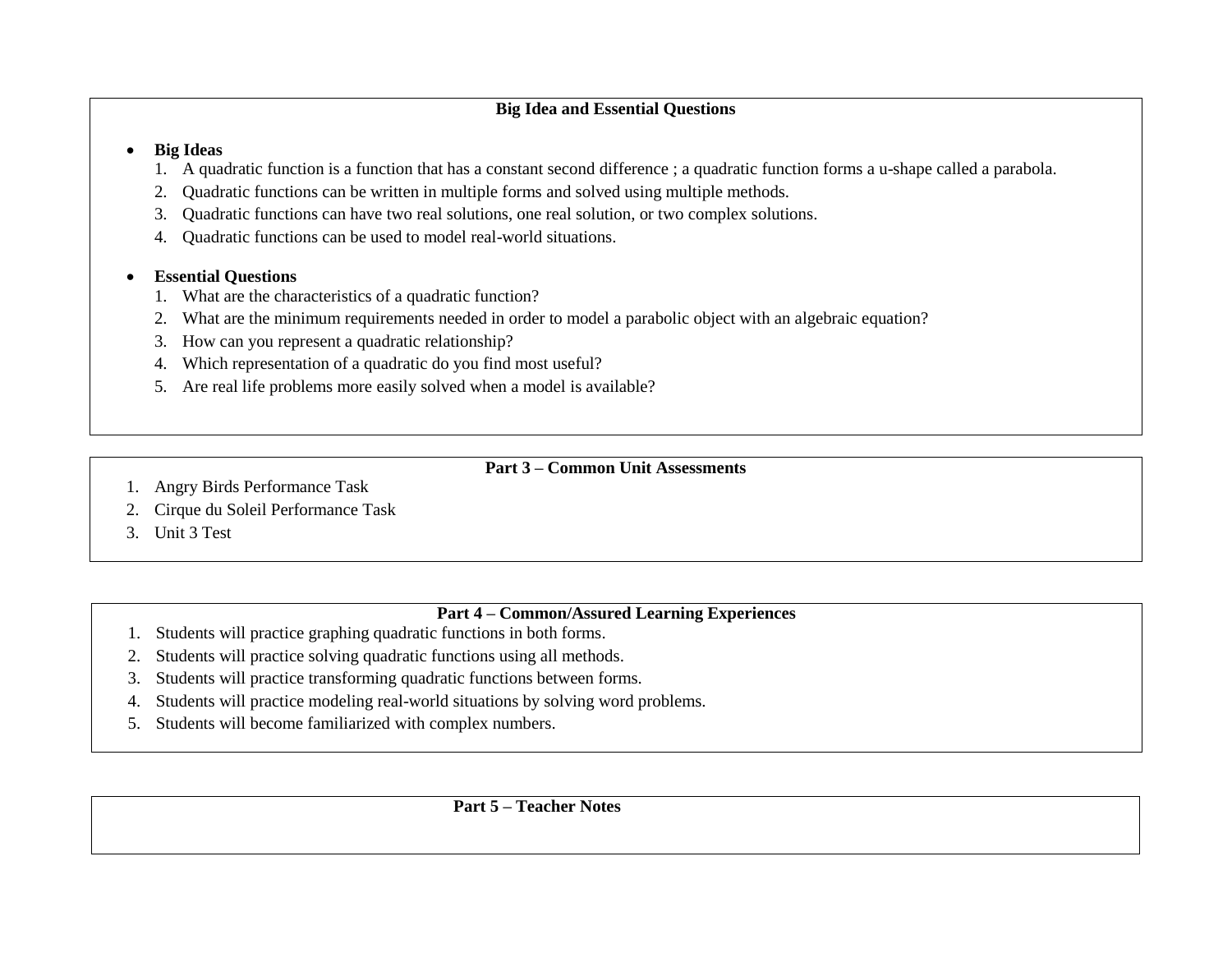#### **Big Ideas**

- 1. A quadratic function is a function that has a constant second difference ; a quadratic function forms a u-shape called a parabola.
- 2. Quadratic functions can be written in multiple forms and solved using multiple methods.
- 3. Quadratic functions can have two real solutions, one real solution, or two complex solutions.
- 4. Quadratic functions can be used to model real-world situations.

### **Essential Questions**

- 1. What are the characteristics of a quadratic function?
- 2. What are the minimum requirements needed in order to model a parabolic object with an algebraic equation?
- 3. How can you represent a quadratic relationship?
- 4. Which representation of a quadratic do you find most useful?
- 5. Are real life problems more easily solved when a model is available?
	- **Part 3 – Common Unit Assessments**

- 1. Angry Birds Performance Task
- 2. Cirque du Soleil Performance Task
- 3. Unit 3 Test

## **Part 4 – Common/Assured Learning Experiences**

- 1. Students will practice graphing quadratic functions in both forms.
- 2. Students will practice solving quadratic functions using all methods.
- 3. Students will practice transforming quadratic functions between forms.
- 4. Students will practice modeling real-world situations by solving word problems.
- 5. Students will become familiarized with complex numbers.

**Part 5 – Teacher Notes**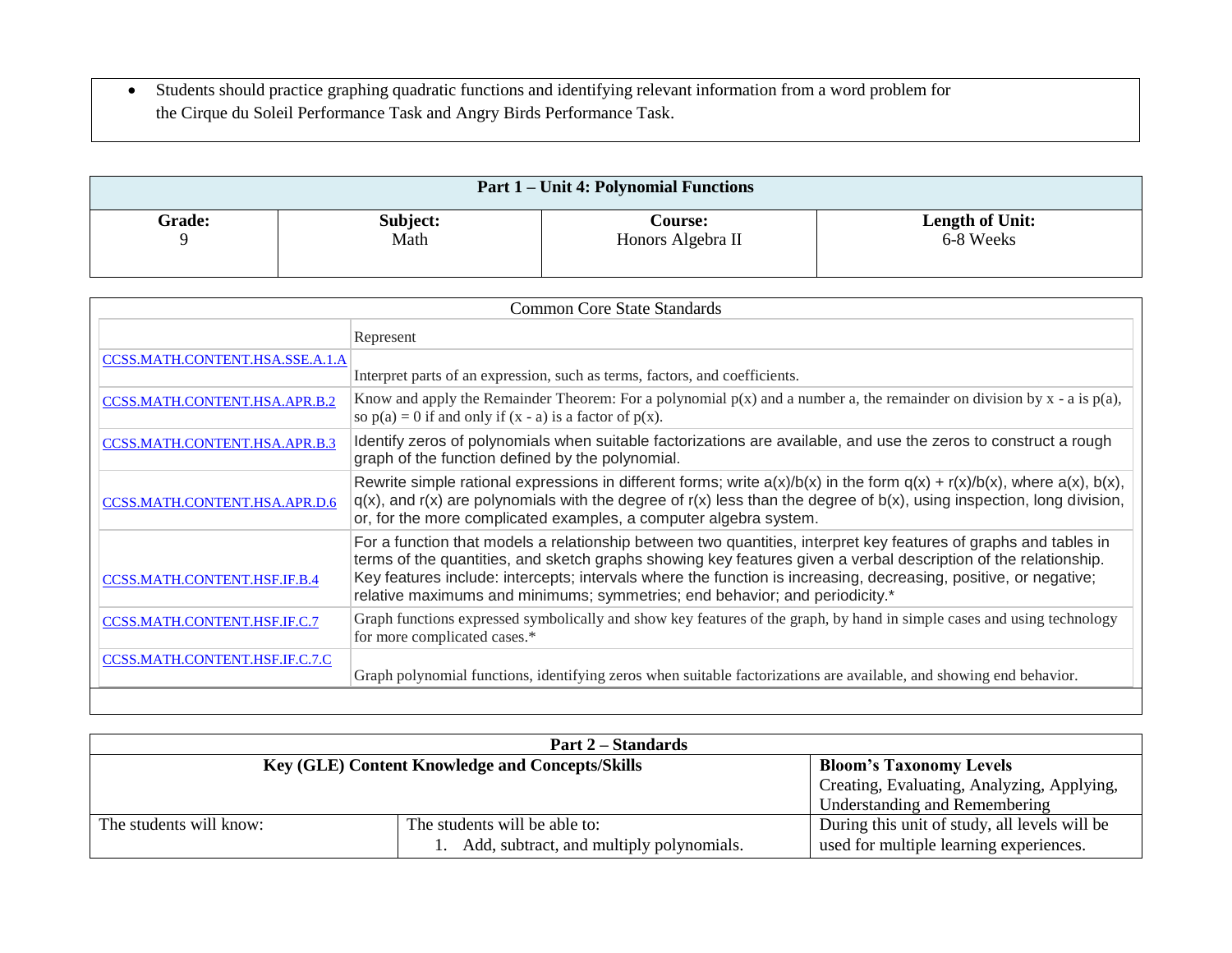Students should practice graphing quadratic functions and identifying relevant information from a word problem for the Cirque du Soleil Performance Task and Angry Birds Performance Task.

| <b>Part 1 – Unit 4: Polynomial Functions</b> |          |                   |                 |
|----------------------------------------------|----------|-------------------|-----------------|
| <b>Grade:</b>                                | Subject: | <b>Course:</b>    | Length of Unit: |
|                                              | Math     | Honors Algebra II | 6-8 Weeks       |

| Common Core State Standards          |                                                                                                                                                                                                                                                                                                                                                                                                                                        |
|--------------------------------------|----------------------------------------------------------------------------------------------------------------------------------------------------------------------------------------------------------------------------------------------------------------------------------------------------------------------------------------------------------------------------------------------------------------------------------------|
|                                      | Represent                                                                                                                                                                                                                                                                                                                                                                                                                              |
| CCSS.MATH.CONTENT.HSA.SSE.A.1.A      |                                                                                                                                                                                                                                                                                                                                                                                                                                        |
|                                      | Interpret parts of an expression, such as terms, factors, and coefficients.                                                                                                                                                                                                                                                                                                                                                            |
| CCSS.MATH.CONTENT.HSA.APR.B.2        | Know and apply the Remainder Theorem: For a polynomial $p(x)$ and a number a, the remainder on division by x - a is $p(a)$ ,<br>so $p(a) = 0$ if and only if $(x - a)$ is a factor of $p(x)$ .                                                                                                                                                                                                                                         |
| CCSS.MATH.CONTENT.HSA.APR.B.3        | Identify zeros of polynomials when suitable factorizations are available, and use the zeros to construct a rough<br>graph of the function defined by the polynomial.                                                                                                                                                                                                                                                                   |
| <b>CCSS.MATH.CONTENT.HSA.APR.D.6</b> | Rewrite simple rational expressions in different forms; write $a(x)/b(x)$ in the form $q(x) + r(x)/b(x)$ , where $a(x)$ , $b(x)$ ,<br>$q(x)$ , and r(x) are polynomials with the degree of r(x) less than the degree of $b(x)$ , using inspection, long division,<br>or, for the more complicated examples, a computer algebra system.                                                                                                 |
| <b>CCSS.MATH.CONTENT.HSF.IF.B.4</b>  | For a function that models a relationship between two quantities, interpret key features of graphs and tables in<br>terms of the quantities, and sketch graphs showing key features given a verbal description of the relationship.<br>Key features include: intercepts; intervals where the function is increasing, decreasing, positive, or negative;<br>relative maximums and minimums; symmetries; end behavior; and periodicity.* |
| CCSS.MATH.CONTENT.HSF.IF.C.7         | Graph functions expressed symbolically and show key features of the graph, by hand in simple cases and using technology<br>for more complicated cases.*                                                                                                                                                                                                                                                                                |
| CCSS.MATH.CONTENT.HSF.IF.C.7.C       | Graph polynomial functions, identifying zeros when suitable factorizations are available, and showing end behavior.                                                                                                                                                                                                                                                                                                                    |

|                         | <b>Part 2 – Standards</b>                              |                                               |
|-------------------------|--------------------------------------------------------|-----------------------------------------------|
|                         | <b>Key (GLE) Content Knowledge and Concepts/Skills</b> | <b>Bloom's Taxonomy Levels</b>                |
|                         |                                                        | Creating, Evaluating, Analyzing, Applying,    |
|                         |                                                        | Understanding and Remembering                 |
| The students will know: | The students will be able to:                          | During this unit of study, all levels will be |
|                         | Add, subtract, and multiply polynomials.               | used for multiple learning experiences.       |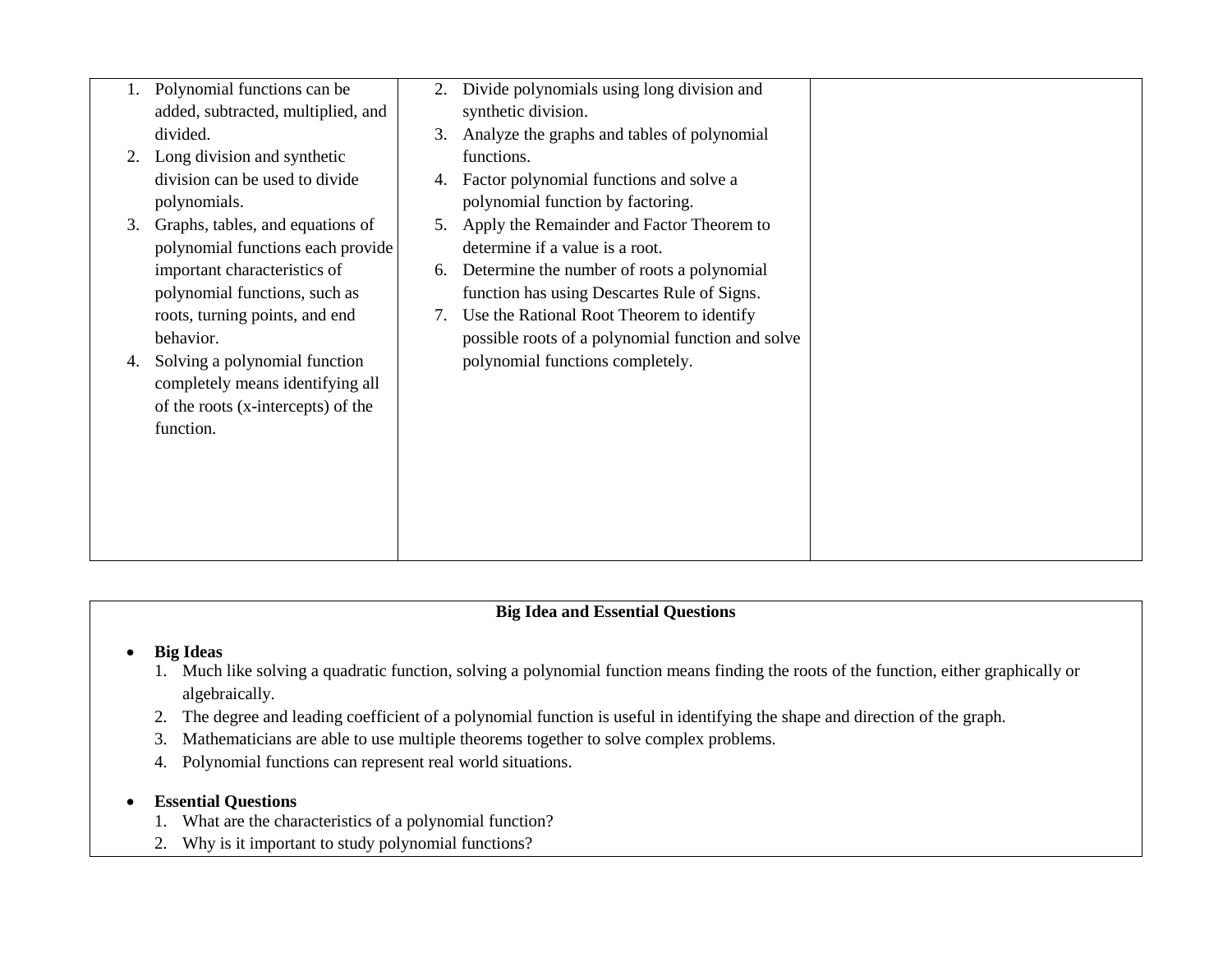|    | Polynomial functions can be        | 2. | Divide polynomials using long division and        |
|----|------------------------------------|----|---------------------------------------------------|
|    | added, subtracted, multiplied, and |    | synthetic division.                               |
|    | divided.                           | 3. | Analyze the graphs and tables of polynomial       |
| 2. | Long division and synthetic        |    | functions.                                        |
|    | division can be used to divide     | 4. | Factor polynomial functions and solve a           |
|    | polynomials.                       |    | polynomial function by factoring.                 |
| 3. | Graphs, tables, and equations of   | 5. | Apply the Remainder and Factor Theorem to         |
|    | polynomial functions each provide  |    | determine if a value is a root.                   |
|    | important characteristics of       | 6. | Determine the number of roots a polynomial        |
|    | polynomial functions, such as      |    | function has using Descartes Rule of Signs.       |
|    | roots, turning points, and end     | 7. | Use the Rational Root Theorem to identify         |
|    | behavior.                          |    | possible roots of a polynomial function and solve |
| 4. | Solving a polynomial function      |    | polynomial functions completely.                  |
|    | completely means identifying all   |    |                                                   |
|    | of the roots (x-intercepts) of the |    |                                                   |
|    | function.                          |    |                                                   |
|    |                                    |    |                                                   |
|    |                                    |    |                                                   |
|    |                                    |    |                                                   |
|    |                                    |    |                                                   |
|    |                                    |    |                                                   |
|    |                                    |    |                                                   |

## **Big Ideas**

- 1. Much like solving a quadratic function, solving a polynomial function means finding the roots of the function, either graphically or algebraically.
- 2. The degree and leading coefficient of a polynomial function is useful in identifying the shape and direction of the graph.
- 3. Mathematicians are able to use multiple theorems together to solve complex problems.
- 4. Polynomial functions can represent real world situations.

### **Essential Questions**

- 1. What are the characteristics of a polynomial function?
- 2. Why is it important to study polynomial functions?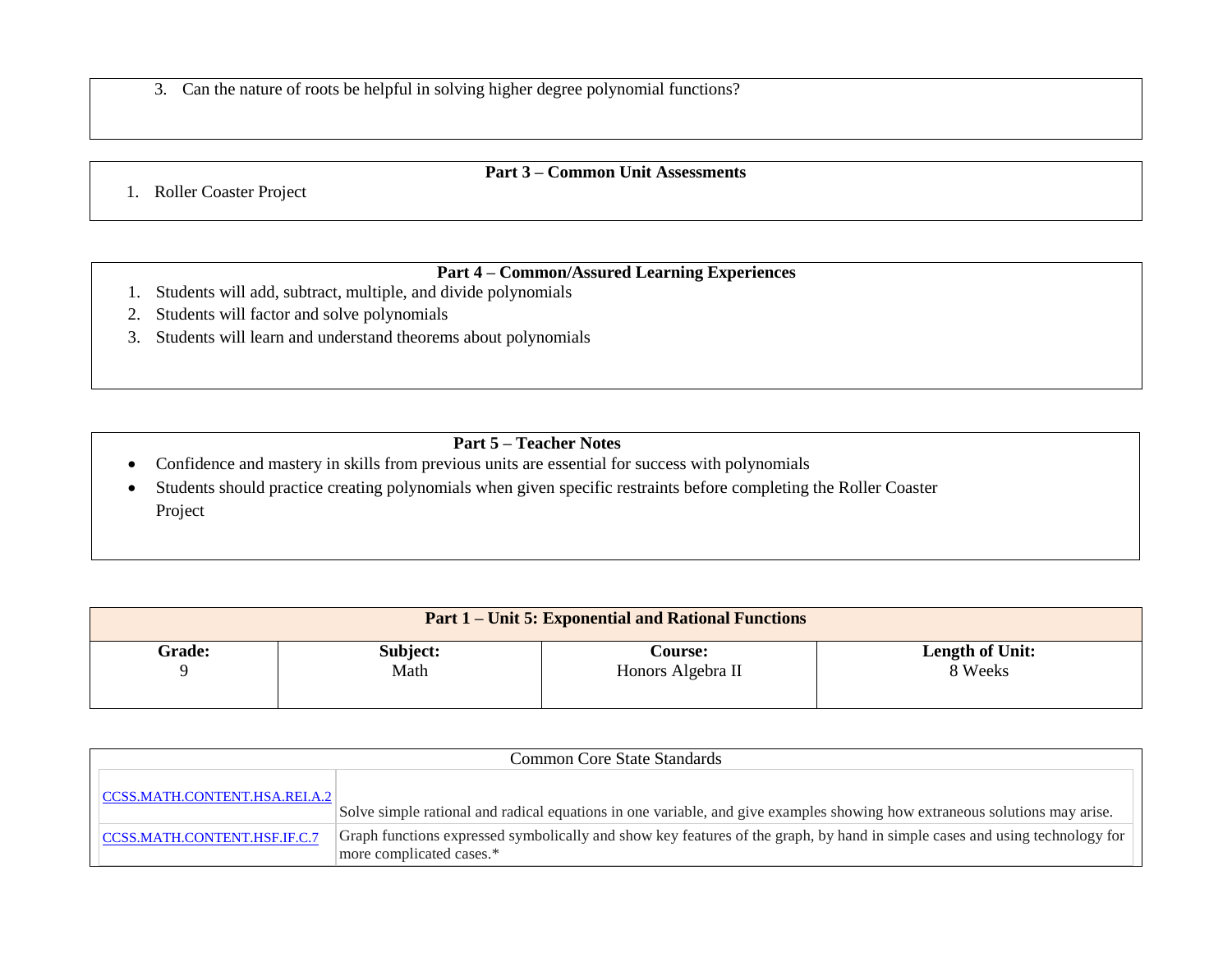3. Can the nature of roots be helpful in solving higher degree polynomial functions?

### **Part 3 – Common Unit Assessments**

1. Roller Coaster Project

# **Part 4 – Common/Assured Learning Experiences**

- 1. Students will add, subtract, multiple, and divide polynomials
- 2. Students will factor and solve polynomials
- 3. Students will learn and understand theorems about polynomials

### **Part 5 – Teacher Notes**

Confidence and mastery in skills from previous units are essential for success with polynomials

 Students should practice creating polynomials when given specific restraints before completing the Roller Coaster Project

| <b>Part 1 – Unit 5: Exponential and Rational Functions</b> |          |                   |                        |
|------------------------------------------------------------|----------|-------------------|------------------------|
| <b>Grade:</b>                                              | Subject: | <b>Course:</b>    | <b>Length of Unit:</b> |
|                                                            | Math     | Honors Algebra II | 8 Weeks                |

| <b>Common Core State Standards</b> |                                                                                                                                                         |  |
|------------------------------------|---------------------------------------------------------------------------------------------------------------------------------------------------------|--|
| CCSS.MATH.CONTENT.HSA.REI.A.2      | Solve simple rational and radical equations in one variable, and give examples showing how extraneous solutions may arise.                              |  |
| CCSS.MATH.CONTENT.HSF.IF.C.7       | Graph functions expressed symbolically and show key features of the graph, by hand in simple cases and using technology for<br>more complicated cases.* |  |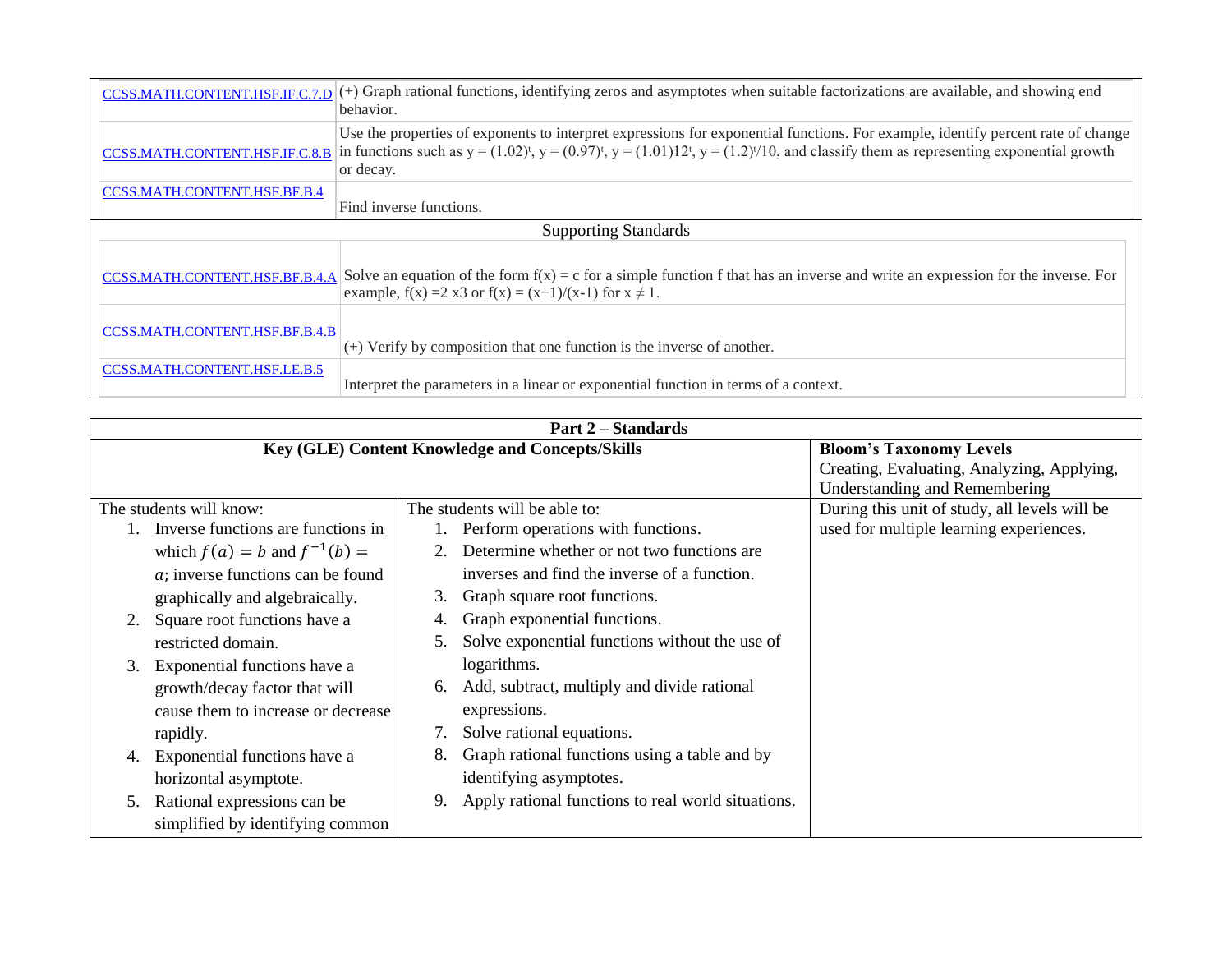| CCSS.MATH.CONTENT.HSF.IF.C.7.D      | $(+)$ Graph rational functions, identifying zeros and asymptotes when suitable factorizations are available, and showing end<br>behavior.                                                                                                                                                            |  |
|-------------------------------------|------------------------------------------------------------------------------------------------------------------------------------------------------------------------------------------------------------------------------------------------------------------------------------------------------|--|
| CCSS.MATH.CONTENT.HSF.IF.C.8.B      | Use the properties of exponents to interpret expressions for exponential functions. For example, identify percent rate of change<br>in functions such as $y = (1.02)^t$ , $y = (0.97)^t$ , $y = (1.01)12^t$ , $y = (1.2)^{t/10}$ , and classify them as representing exponential growth<br>or decay. |  |
| <b>CCSS.MATH.CONTENT.HSF.BF.B.4</b> | Find inverse functions.                                                                                                                                                                                                                                                                              |  |
|                                     | <b>Supporting Standards</b>                                                                                                                                                                                                                                                                          |  |
| CCSS.MATH.CONTENT.HSF.BF.B.4.A      | Solve an equation of the form $f(x) = c$ for a simple function f that has an inverse and write an expression for the inverse. For<br>example, $f(x) = 2 x3$ or $f(x) = (x+1)/(x-1)$ for $x \ne 1$ .                                                                                                  |  |
| CCSS.MATH.CONTENT.HSF.BF.B.4.B      | $(+)$ Verify by composition that one function is the inverse of another.                                                                                                                                                                                                                             |  |
| CCSS.MATH.CONTENT.HSF.LE.B.5        | Interpret the parameters in a linear or exponential function in terms of a context.                                                                                                                                                                                                                  |  |

|                                    | <b>Part 2-Standards</b>                                  |                                               |
|------------------------------------|----------------------------------------------------------|-----------------------------------------------|
|                                    | Key (GLE) Content Knowledge and Concepts/Skills          | <b>Bloom's Taxonomy Levels</b>                |
|                                    |                                                          | Creating, Evaluating, Analyzing, Applying,    |
|                                    |                                                          | <b>Understanding and Remembering</b>          |
| The students will know:            | The students will be able to:                            | During this unit of study, all levels will be |
| Inverse functions are functions in | Perform operations with functions.                       | used for multiple learning experiences.       |
| which $f(a) = b$ and $f^{-1}(b) =$ | Determine whether or not two functions are               |                                               |
| a; inverse functions can be found  | inverses and find the inverse of a function.             |                                               |
| graphically and algebraically.     | Graph square root functions.<br>3.                       |                                               |
| Square root functions have a       | Graph exponential functions.                             |                                               |
| restricted domain.                 | Solve exponential functions without the use of<br>5.     |                                               |
| Exponential functions have a<br>3. | logarithms.                                              |                                               |
| growth/decay factor that will      | Add, subtract, multiply and divide rational<br>6.        |                                               |
| cause them to increase or decrease | expressions.                                             |                                               |
| rapidly.                           | Solve rational equations.                                |                                               |
| Exponential functions have a       | Graph rational functions using a table and by<br>8.      |                                               |
| horizontal asymptote.              | identifying asymptotes.                                  |                                               |
| Rational expressions can be<br>5.  | Apply rational functions to real world situations.<br>9. |                                               |
| simplified by identifying common   |                                                          |                                               |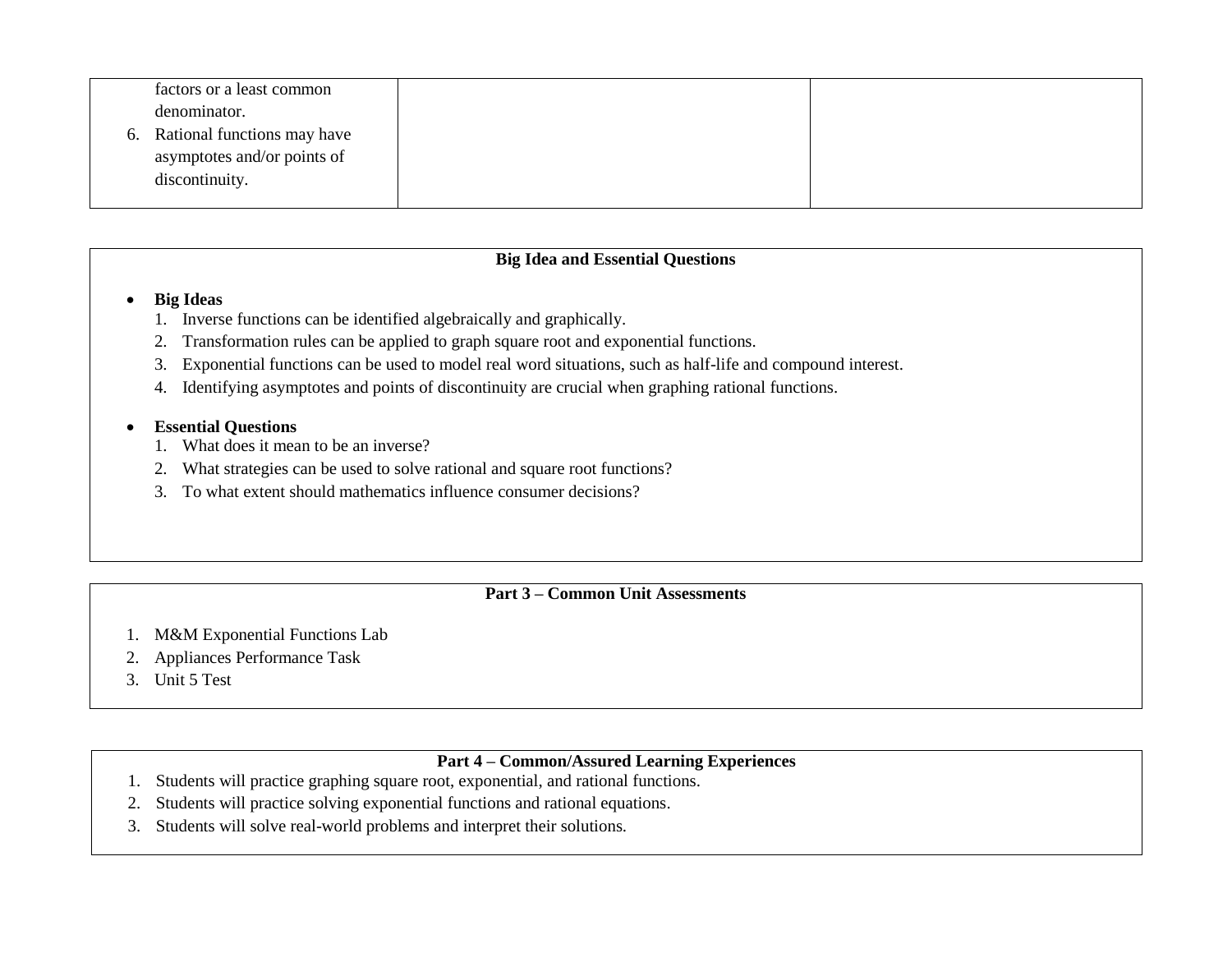| factors or a least common      |  |
|--------------------------------|--|
| denominator.                   |  |
| 6. Rational functions may have |  |
| asymptotes and/or points of    |  |
| discontinuity.                 |  |
|                                |  |

### **Big Ideas**

- 1. Inverse functions can be identified algebraically and graphically.
- 2. Transformation rules can be applied to graph square root and exponential functions.
- 3. Exponential functions can be used to model real word situations, such as half-life and compound interest.
- 4. Identifying asymptotes and points of discontinuity are crucial when graphing rational functions.

### **Essential Questions**

- 1. What does it mean to be an inverse?
- 2. What strategies can be used to solve rational and square root functions?
- 3. To what extent should mathematics influence consumer decisions?

### **Part 3 – Common Unit Assessments**

- 1. M&M Exponential Functions Lab
- 2. Appliances Performance Task
- 3. Unit 5 Test

# **Part 4 – Common/Assured Learning Experiences**

- 1. Students will practice graphing square root, exponential, and rational functions.
- 2. Students will practice solving exponential functions and rational equations.
- 3. Students will solve real-world problems and interpret their solutions.